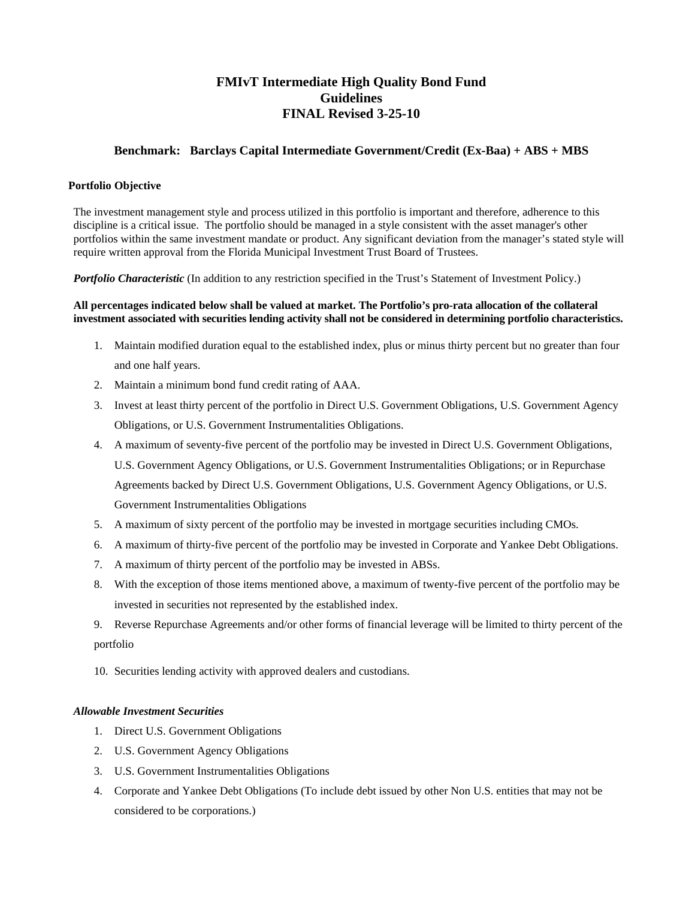# **FMIvT Intermediate High Quality Bond Fund Guidelines FINAL Revised 3-25-10**

# **Benchmark: Barclays Capital Intermediate Government/Credit (Ex-Baa) + ABS + MBS**

#### **Portfolio Objective**

The investment management style and process utilized in this portfolio is important and therefore, adherence to this discipline is a critical issue. The portfolio should be managed in a style consistent with the asset manager's other portfolios within the same investment mandate or product. Any significant deviation from the manager's stated style will require written approval from the Florida Municipal Investment Trust Board of Trustees.

*Portfolio Characteristic* (In addition to any restriction specified in the Trust's Statement of Investment Policy.)

#### **All percentages indicated below shall be valued at market. The Portfolio's pro-rata allocation of the collateral investment associated with securities lending activity shall not be considered in determining portfolio characteristics.**

- 1. Maintain modified duration equal to the established index, plus or minus thirty percent but no greater than four and one half years.
- 2. Maintain a minimum bond fund credit rating of AAA.
- 3. Invest at least thirty percent of the portfolio in Direct U.S. Government Obligations, U.S. Government Agency Obligations, or U.S. Government Instrumentalities Obligations.
- 4. A maximum of seventy-five percent of the portfolio may be invested in Direct U.S. Government Obligations, U.S. Government Agency Obligations, or U.S. Government Instrumentalities Obligations; or in Repurchase Agreements backed by Direct U.S. Government Obligations, U.S. Government Agency Obligations, or U.S. Government Instrumentalities Obligations
- 5. A maximum of sixty percent of the portfolio may be invested in mortgage securities including CMOs.
- 6. A maximum of thirty-five percent of the portfolio may be invested in Corporate and Yankee Debt Obligations.
- 7. A maximum of thirty percent of the portfolio may be invested in ABSs.
- 8. With the exception of those items mentioned above, a maximum of twenty-five percent of the portfolio may be invested in securities not represented by the established index.

9. Reverse Repurchase Agreements and/or other forms of financial leverage will be limited to thirty percent of the portfolio

10. Securities lending activity with approved dealers and custodians.

## *Allowable Investment Securities*

- 1. Direct U.S. Government Obligations
- 2. U.S. Government Agency Obligations
- 3. U.S. Government Instrumentalities Obligations
- 4. Corporate and Yankee Debt Obligations (To include debt issued by other Non U.S. entities that may not be considered to be corporations.)